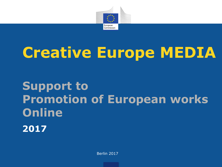

# **Creative Europe MEDIA**

## **Support to Promotion of European works Online 2017**

Berlin 2017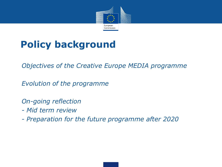

## **Policy background**

• *Objectives of the Creative Europe MEDIA programme*

• *Evolution of the programme*

• *On-going reflection*

- *- Mid term review*
- *- Preparation for the future programme after 2020*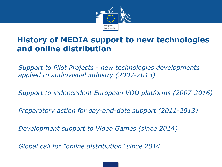

#### **History of MEDIA support to new technologies and online distribution**

 *Support to Pilot Projects - new technologies developments applied to audiovisual industry (2007-2013)*

*Support to independent European VOD platforms (2007-2016)*

*Preparatory action for day-and-date support (2011-2013)*

*Development support to Video Games (since 2014)*

*Global call for "online distribution" since 2014*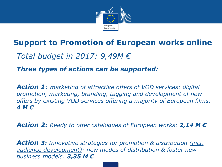

### **Support to Promotion of European works online**

### • *Total budget in 2017: 9,49M €*

#### • *Three types of actions can be supported:*

• *Action 1: marketing of attractive offers of VOD services: digital promotion, marketing, branding, tagging and development of new offers by existing VOD services offering a majority of European films: 4 M €*

• *Action 2: Ready to offer catalogues of European works: 2,14 M €*

• *Action 3: Innovative strategies for promotion & distribution (incl. audience development): new modes of distribution & foster new business models: 3,35 M €*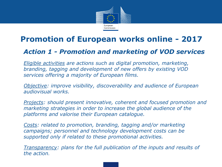

#### **Promotion of European works online - 2017**

#### • *Action 1 - Promotion and marketing of VOD services*

• *Eligible activities are actions such as digital promotion, marketing, branding, tagging and development of new offers by existing VOD services offering a majority of European films.*

• *Objective: improve visibility, discoverability and audience of European audiovisual works.* 

• *Projects: should present innovative, coherent and focused promotion and marketing strategies in order to increase the global audience of the platforms and valorise their European catalogue.* 

• *Costs: related to promotion, branding, tagging and/or marketing campaigns; personnel and technology development costs can be supported only if related to these promotional activities.* 

• *Transparency: plans for the full publication of the inputs and results of the action.*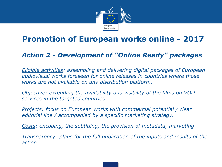

### **Promotion of European works online - 2017**

#### • *Action 2 - Development of "Online Ready" packages*

• *Eligible activities: assembling and delivering digital packages of European audiovisual works foreseen for online releases in countries where those works are not available on any distribution platform.*

• *Objective: extending the availability and visibility of the films on VOD services in the targeted countries.*

• *Projects: focus on European works with commercial potential / clear editorial line / accompanied by a specific marketing strategy.*

• *Costs: encoding, the subtitling, the provision of metadata, marketing*

• *Transparency: plans for the full publication of the inputs and results of the action.*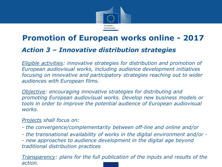

## **Promotion of European works online - 2017** • *Action 3 – Innovative distribution strategies*

• *Eligible activities: innovative strategies for distribution and promotion of European audiovisual works, including audience development initiatives focusing on innovative and participatory strategies reaching out to wider audiences with European films.*

• *Objective: encouraging innovative strategies for distributing and promoting European audiovisual works. Develop new business models or tools in order to improve the potential audience of European audiovisual works.* 

#### • *Projects shall focus on:*

- *- the convergence/complementarity between off-line and online and/or*
- *- the transnational availability of works in the digital environment and/or -*

*- new approaches to audience development in the digital age beyond traditional distribution practices*

• *Transparency: plans for the full publication of the inputs and results of the action.*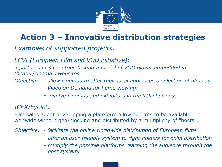

## **Action 3 – Innovative distribution strategies**

•*Examples of supported projects:*

• *ECVI (European Film and VOD initiative):* 

• *3 partners in 3 countries testing a model of VOD player embedded in theater/cinema's websites.*

• *Objective: - allow cinemas to offer their local audiences a selection of films as* • *Video on Demand for home viewing;* 

• *- involve cinemas and exhibitors in the VOD business*

#### • *ICEX/Eyelet:*

• Film sales agent developping a plateform allowing films to be available worlwide without geo-blocking and distributed by a multiplicity of "hosts".

- *Objective: - facilitate the online worldwide distribution of European films* 
	- • *- offer an user-friendly system to right holders for onlin distribution*
	- • *- multiply the possible platforms reaching the audience through the host system.*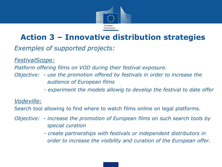

## **Action 3 – Innovative distribution strategies**

•*Exemples of supported projects:*

• *FestivalScope:* 

• *Platform offering films on VOD during their festival exposure.*

- *Objective: - use the promotion offered by festivals in order to increase the* • *audience of European films* 
	- • *- experiment the models allowig to develop the festival to date offer*

• *Vodeville:*

• Search tool allowing to find where to watch films online on legal platforms.

- *Objective: - increase the promotion of European films on such search tools by* • *special curation* 
	- • *- create partnerships with festivals or independent distributors in* • *order to increase the visibility and curation of the European offer.*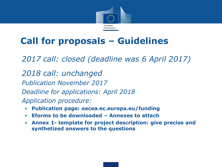

## **Call for proposals – Guidelines**

- *2017 call: closed (deadline was 6 April 2017)*
- *2018 call: unchanged*
- *Publication November 2017*
- *Deadline for applications: April 2018*
- *Application procedure:*
	- **Publication page: eacea.ec.europa.eu/funding**
	- **Eforms to be downloaded – Annexes to attach**
	- **Annex 1- template for project description: give precise and synthetized answers to the questions**